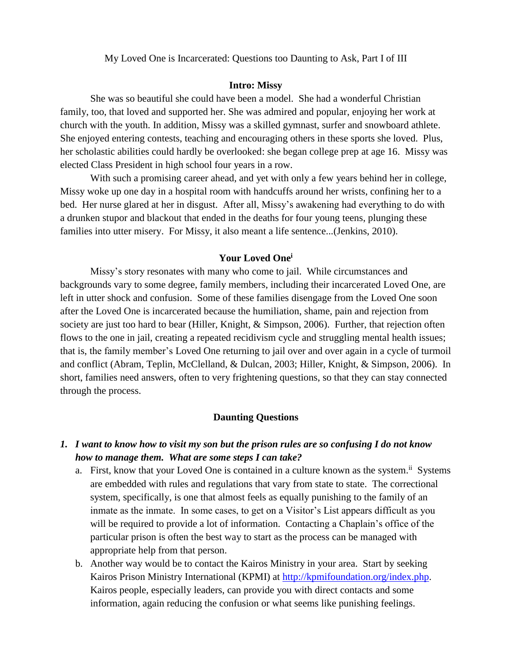My Loved One is Incarcerated: Questions too Daunting to Ask, Part I of III

#### **Intro: Missy**

She was so beautiful she could have been a model. She had a wonderful Christian family, too, that loved and supported her. She was admired and popular, enjoying her work at church with the youth. In addition, Missy was a skilled gymnast, surfer and snowboard athlete. She enjoyed entering contests, teaching and encouraging others in these sports she loved. Plus, her scholastic abilities could hardly be overlooked: she began college prep at age 16. Missy was elected Class President in high school four years in a row.

With such a promising career ahead, and yet with only a few years behind her in college, Missy woke up one day in a hospital room with handcuffs around her wrists, confining her to a bed. Her nurse glared at her in disgust. After all, Missy's awakening had everything to do with a drunken stupor and blackout that ended in the deaths for four young teens, plunging these families into utter misery. For Missy, it also meant a life sentence...(Jenkins, 2010).

#### **Your Loved One<sup>i</sup>**

Missy's story resonates with many who come to jail. While circumstances and backgrounds vary to some degree, family members, including their incarcerated Loved One, are left in utter shock and confusion. Some of these families disengage from the Loved One soon after the Loved One is incarcerated because the humiliation, shame, pain and rejection from society are just too hard to bear (Hiller, Knight, & Simpson, 2006). Further, that rejection often flows to the one in jail, creating a repeated recidivism cycle and struggling mental health issues; that is, the family member's Loved One returning to jail over and over again in a cycle of turmoil and conflict (Abram, Teplin, McClelland, & Dulcan, 2003; Hiller, Knight, & Simpson, 2006). In short, families need answers, often to very frightening questions, so that they can stay connected through the process.

#### **Daunting Questions**

### *1. I want to know how to visit my son but the prison rules are so confusing I do not know how to manage them. What are some steps I can take?*

- a. First, know that your Loved One is contained in a culture known as the system.<sup>ii</sup> Systems are embedded with rules and regulations that vary from state to state. The correctional system, specifically, is one that almost feels as equally punishing to the family of an inmate as the inmate. In some cases, to get on a Visitor's List appears difficult as you will be required to provide a lot of information. Contacting a Chaplain's office of the particular prison is often the best way to start as the process can be managed with appropriate help from that person.
- b. Another way would be to contact the Kairos Ministry in your area. Start by seeking Kairos Prison Ministry International (KPMI) at [http://kpmifoundation.org/index.php.](http://kpmifoundation.org/index.php) Kairos people, especially leaders, can provide you with direct contacts and some information, again reducing the confusion or what seems like punishing feelings.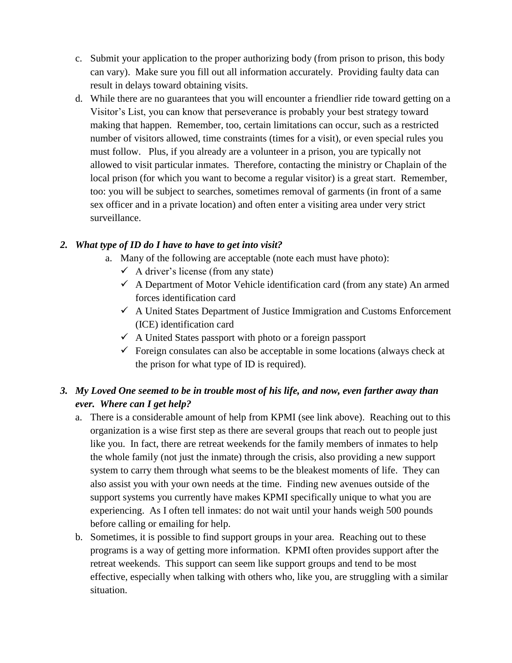- c. Submit your application to the proper authorizing body (from prison to prison, this body can vary). Make sure you fill out all information accurately. Providing faulty data can result in delays toward obtaining visits.
- d. While there are no guarantees that you will encounter a friendlier ride toward getting on a Visitor's List, you can know that perseverance is probably your best strategy toward making that happen. Remember, too, certain limitations can occur, such as a restricted number of visitors allowed, time constraints (times for a visit), or even special rules you must follow. Plus, if you already are a volunteer in a prison, you are typically not allowed to visit particular inmates. Therefore, contacting the ministry or Chaplain of the local prison (for which you want to become a regular visitor) is a great start. Remember, too: you will be subject to searches, sometimes removal of garments (in front of a same sex officer and in a private location) and often enter a visiting area under very strict surveillance.

## *2. What type of ID do I have to have to get into visit?*

- a. Many of the following are acceptable (note each must have photo):
	- $\checkmark$  A driver's license (from any state)
	- $\checkmark$  A Department of Motor Vehicle identification card (from any state) An armed forces identification card
	- $\checkmark$  A United States Department of Justice Immigration and Customs Enforcement (ICE) identification card
	- $\checkmark$  A United States passport with photo or a foreign passport
	- $\checkmark$  Foreign consulates can also be acceptable in some locations (always check at the prison for what type of ID is required).

# *3. My Loved One seemed to be in trouble most of his life, and now, even farther away than ever. Where can I get help?*

- a. There is a considerable amount of help from KPMI (see link above). Reaching out to this organization is a wise first step as there are several groups that reach out to people just like you. In fact, there are retreat weekends for the family members of inmates to help the whole family (not just the inmate) through the crisis, also providing a new support system to carry them through what seems to be the bleakest moments of life. They can also assist you with your own needs at the time. Finding new avenues outside of the support systems you currently have makes KPMI specifically unique to what you are experiencing. As I often tell inmates: do not wait until your hands weigh 500 pounds before calling or emailing for help.
- b. Sometimes, it is possible to find support groups in your area. Reaching out to these programs is a way of getting more information. KPMI often provides support after the retreat weekends. This support can seem like support groups and tend to be most effective, especially when talking with others who, like you, are struggling with a similar situation.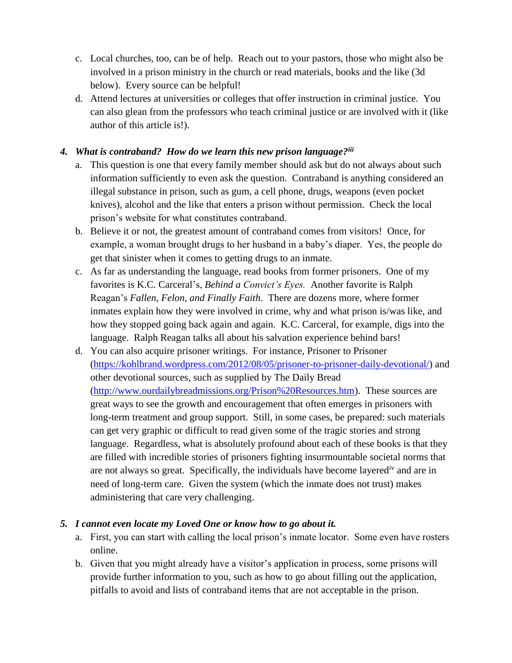- c. Local churches, too, can be of help. Reach out to your pastors, those who might also be involved in a prison ministry in the church or read materials, books and the like (3d below). Every source can be helpful!
- d. Attend lectures at universities or colleges that offer instruction in criminal justice. You can also glean from the professors who teach criminal justice or are involved with it (like author of this article is!).

## *4. What is contraband? How do we learn this new prison language?iii*

- a. This question is one that every family member should ask but do not always about such information sufficiently to even ask the question. Contraband is anything considered an illegal substance in prison, such as gum, a cell phone, drugs, weapons (even pocket knives), alcohol and the like that enters a prison without permission. Check the local prison's website for what constitutes contraband.
- b. Believe it or not, the greatest amount of contraband comes from visitors! Once, for example, a woman brought drugs to her husband in a baby's diaper. Yes, the people do get that sinister when it comes to getting drugs to an inmate.
- c. As far as understanding the language, read books from former prisoners. One of my favorites is K.C. Carceral's, *Behind a Convict's Eyes.* Another favorite is Ralph Reagan's *Fallen, Felon, and Finally Faith*. There are dozens more, where former inmates explain how they were involved in crime, why and what prison is/was like, and how they stopped going back again and again. K.C. Carceral, for example, digs into the language. Ralph Reagan talks all about his salvation experience behind bars!
- d. You can also acquire prisoner writings. For instance, Prisoner to Prisoner [\(https://kohlbrand.wordpress.com/2012/08/05/prisoner-to-prisoner-daily-devotional/\)](https://kohlbrand.wordpress.com/2012/08/05/prisoner-to-prisoner-daily-devotional/) and other devotional sources, such as supplied by The Daily Bread [\(http://www.ourdailybreadmissions.org/Prison%20Resources.htm\)](http://www.ourdailybreadmissions.org/Prison%20Resources.htm). These sources are great ways to see the growth and encouragement that often emerges in prisoners with long-term treatment and group support. Still, in some cases, be prepared: such materials can get very graphic or difficult to read given some of the tragic stories and strong language. Regardless, what is absolutely profound about each of these books is that they are filled with incredible stories of prisoners fighting insurmountable societal norms that are not always so great. Specifically, the individuals have become layered<sup>iv</sup> and are in need of long-term care. Given the system (which the inmate does not trust) makes administering that care very challenging.

## *5. I cannot even locate my Loved One or know how to go about it.*

- a. First, you can start with calling the local prison's inmate locator. Some even have rosters online.
- b. Given that you might already have a visitor's application in process, some prisons will provide further information to you, such as how to go about filling out the application, pitfalls to avoid and lists of contraband items that are not acceptable in the prison.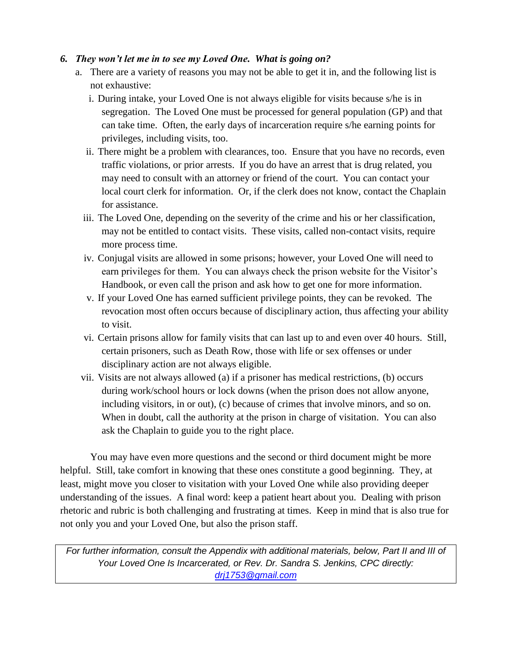### *6. They won't let me in to see my Loved One. What is going on?*

- a. There are a variety of reasons you may not be able to get it in, and the following list is not exhaustive:
	- i. During intake, your Loved One is not always eligible for visits because s/he is in segregation. The Loved One must be processed for general population (GP) and that can take time. Often, the early days of incarceration require s/he earning points for privileges, including visits, too.
	- ii. There might be a problem with clearances, too. Ensure that you have no records, even traffic violations, or prior arrests. If you do have an arrest that is drug related, you may need to consult with an attorney or friend of the court. You can contact your local court clerk for information. Or, if the clerk does not know, contact the Chaplain for assistance.
	- iii. The Loved One, depending on the severity of the crime and his or her classification, may not be entitled to contact visits. These visits, called non-contact visits, require more process time.
	- iv. Conjugal visits are allowed in some prisons; however, your Loved One will need to earn privileges for them. You can always check the prison website for the Visitor's Handbook, or even call the prison and ask how to get one for more information.
	- v. If your Loved One has earned sufficient privilege points, they can be revoked. The revocation most often occurs because of disciplinary action, thus affecting your ability to visit.
	- vi. Certain prisons allow for family visits that can last up to and even over 40 hours. Still, certain prisoners, such as Death Row, those with life or sex offenses or under disciplinary action are not always eligible.
- vii. Visits are not always allowed (a) if a prisoner has medical restrictions, (b) occurs during work/school hours or lock downs (when the prison does not allow anyone, including visitors, in or out), (c) because of crimes that involve minors, and so on. When in doubt, call the authority at the prison in charge of visitation. You can also ask the Chaplain to guide you to the right place.

You may have even more questions and the second or third document might be more helpful. Still, take comfort in knowing that these ones constitute a good beginning. They, at least, might move you closer to visitation with your Loved One while also providing deeper understanding of the issues. A final word: keep a patient heart about you. Dealing with prison rhetoric and rubric is both challenging and frustrating at times. Keep in mind that is also true for not only you and your Loved One, but also the prison staff.

*For further information, consult the Appendix with additional materials, below, Part II and III of Your Loved One Is Incarcerated, or Rev. Dr. Sandra S. Jenkins, CPC directly: [drj1753@gmail.com](mailto:drj1753@gmail.com)*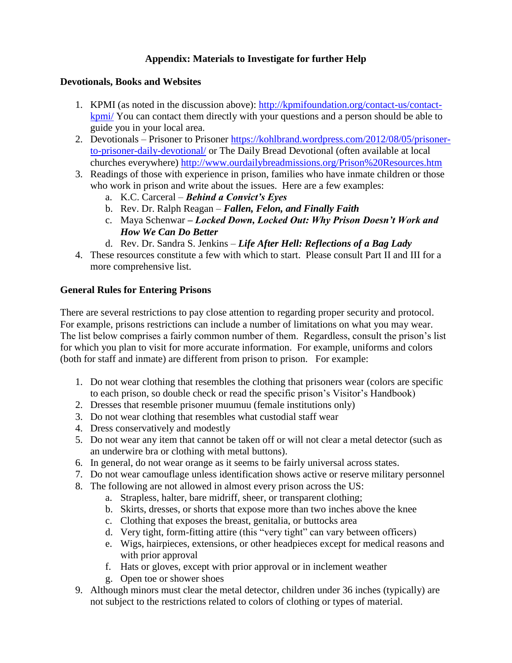## **Appendix: Materials to Investigate for further Help**

### **Devotionals, Books and Websites**

- 1. KPMI (as noted in the discussion above): [http://kpmifoundation.org/contact-us/contact](http://kpmifoundation.org/contact-us/contact-kpmi/)[kpmi/](http://kpmifoundation.org/contact-us/contact-kpmi/) You can contact them directly with your questions and a person should be able to guide you in your local area.
- 2. Devotionals Prisoner to Prisoner [https://kohlbrand.wordpress.com/2012/08/05/prisoner](https://kohlbrand.wordpress.com/2012/08/05/prisoner-to-prisoner-daily-devotional/)[to-prisoner-daily-devotional/](https://kohlbrand.wordpress.com/2012/08/05/prisoner-to-prisoner-daily-devotional/) or The Daily Bread Devotional (often available at local churches everywhere)<http://www.ourdailybreadmissions.org/Prison%20Resources.htm>
- 3. Readings of those with experience in prison, families who have inmate children or those who work in prison and write about the issues. Here are a few examples:
	- a. K.C. Carceral *Behind a Convict's Eyes*
	- b. Rev. Dr. Ralph Reagan *Fallen, Felon, and Finally Faith*
	- c. Maya Schenwar *– Locked Down, Locked Out: Why Prison Doesn't Work and How We Can Do Better*
	- d. Rev. Dr. Sandra S. Jenkins *Life After Hell: Reflections of a Bag Lady*
- 4. These resources constitute a few with which to start. Please consult Part II and III for a more comprehensive list.

### **General Rules for Entering Prisons**

There are several restrictions to pay close attention to regarding proper security and protocol. For example, prisons restrictions can include a number of limitations on what you may wear. The list below comprises a fairly common number of them. Regardless, consult the prison's list for which you plan to visit for more accurate information. For example, uniforms and colors (both for staff and inmate) are different from prison to prison. For example:

- 1. Do not wear clothing that resembles the clothing that prisoners wear (colors are specific to each prison, so double check or read the specific prison's Visitor's Handbook)
- 2. Dresses that resemble prisoner muumuu (female institutions only)
- 3. Do not wear clothing that resembles what custodial staff wear
- 4. Dress conservatively and modestly
- 5. Do not wear any item that cannot be taken off or will not clear a metal detector (such as an underwire bra or clothing with metal buttons).
- 6. In general, do not wear orange as it seems to be fairly universal across states.
- 7. Do not wear camouflage unless identification shows active or reserve military personnel
- 8. The following are not allowed in almost every prison across the US:
	- a. Strapless, halter, bare midriff, sheer, or transparent clothing;
	- b. Skirts, dresses, or shorts that expose more than two inches above the knee
	- c. Clothing that exposes the breast, genitalia, or buttocks area
	- d. Very tight, form-fitting attire (this "very tight" can vary between officers)
	- e. Wigs, hairpieces, extensions, or other headpieces except for medical reasons and with prior approval
	- f. Hats or gloves, except with prior approval or in inclement weather
	- g. Open toe or shower shoes
- 9. Although minors must clear the metal detector, children under 36 inches (typically) are not subject to the restrictions related to colors of clothing or types of material.